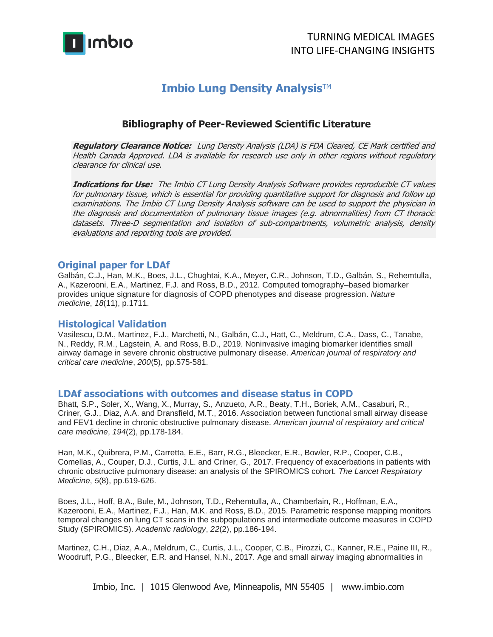

# **Imbio Lung Density Analysis™**

# **Bibliography of Peer-Reviewed Scientific Literature**

**Regulatory Clearance Notice:** Lung Density Analysis (LDA) is FDA Cleared, CE Mark certified and Health Canada Approved. LDA is available for research use only in other regions without regulatory clearance for clinical use.

**Indications for Use:** The Imbio CT Lung Density Analysis Software provides reproducible CT values for pulmonary tissue, which is essential for providing quantitative support for diagnosis and follow up examinations. The Imbio CT Lung Density Analysis software can be used to support the physician in the diagnosis and documentation of pulmonary tissue images (e.g. abnormalities) from CT thoracic datasets. Three-D segmentation and isolation of sub-compartments, volumetric analysis, density evaluations and reporting tools are provided.

### **Original paper for LDAf**

Galbán, C.J., Han, M.K., Boes, J.L., Chughtai, K.A., Meyer, C.R., Johnson, T.D., Galbán, S., Rehemtulla, A., Kazerooni, E.A., Martinez, F.J. and Ross, B.D., 2012. Computed tomography–based biomarker provides unique signature for diagnosis of COPD phenotypes and disease progression. *Nature medicine*, *18*(11), p.1711.

# **Histological Validation**

Vasilescu, D.M., Martinez, F.J., Marchetti, N., Galbán, C.J., Hatt, C., Meldrum, C.A., Dass, C., Tanabe, N., Reddy, R.M., Lagstein, A. and Ross, B.D., 2019. Noninvasive imaging biomarker identifies small airway damage in severe chronic obstructive pulmonary disease. *American journal of respiratory and critical care medicine*, *200*(5), pp.575-581.

### **LDAf associations with outcomes and disease status in COPD**

Bhatt, S.P., Soler, X., Wang, X., Murray, S., Anzueto, A.R., Beaty, T.H., Boriek, A.M., Casaburi, R., Criner, G.J., Diaz, A.A. and Dransfield, M.T., 2016. Association between functional small airway disease and FEV1 decline in chronic obstructive pulmonary disease. *American journal of respiratory and critical care medicine*, *194*(2), pp.178-184.

Han, M.K., Quibrera, P.M., Carretta, E.E., Barr, R.G., Bleecker, E.R., Bowler, R.P., Cooper, C.B., Comellas, A., Couper, D.J., Curtis, J.L. and Criner, G., 2017. Frequency of exacerbations in patients with chronic obstructive pulmonary disease: an analysis of the SPIROMICS cohort. *The Lancet Respiratory Medicine*, *5*(8), pp.619-626.

Boes, J.L., Hoff, B.A., Bule, M., Johnson, T.D., Rehemtulla, A., Chamberlain, R., Hoffman, E.A., Kazerooni, E.A., Martinez, F.J., Han, M.K. and Ross, B.D., 2015. Parametric response mapping monitors temporal changes on lung CT scans in the subpopulations and intermediate outcome measures in COPD Study (SPIROMICS). *Academic radiology*, *22*(2), pp.186-194.

Martinez, C.H., Diaz, A.A., Meldrum, C., Curtis, J.L., Cooper, C.B., Pirozzi, C., Kanner, R.E., Paine III, R., Woodruff, P.G., Bleecker, E.R. and Hansel, N.N., 2017. Age and small airway imaging abnormalities in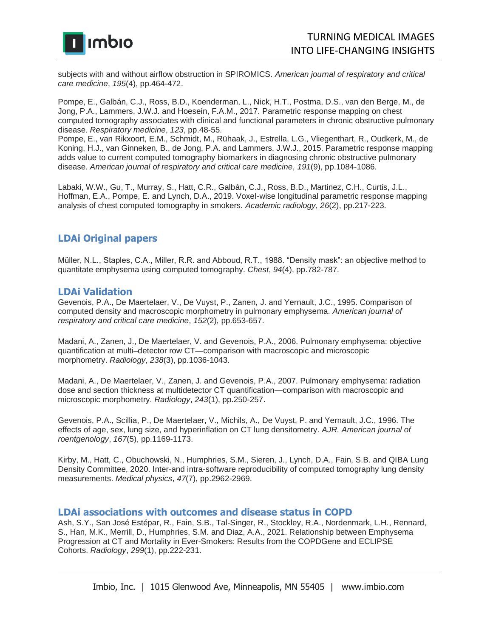

subjects with and without airflow obstruction in SPIROMICS. *American journal of respiratory and critical care medicine*, *195*(4), pp.464-472.

Pompe, E., Galbán, C.J., Ross, B.D., Koenderman, L., Nick, H.T., Postma, D.S., van den Berge, M., de Jong, P.A., Lammers, J.W.J. and Hoesein, F.A.M., 2017. Parametric response mapping on chest computed tomography associates with clinical and functional parameters in chronic obstructive pulmonary disease. *Respiratory medicine*, *123*, pp.48-55.

Pompe, E., van Rikxoort, E.M., Schmidt, M., Rühaak, J., Estrella, L.G., Vliegenthart, R., Oudkerk, M., de Koning, H.J., van Ginneken, B., de Jong, P.A. and Lammers, J.W.J., 2015. Parametric response mapping adds value to current computed tomography biomarkers in diagnosing chronic obstructive pulmonary disease. *American journal of respiratory and critical care medicine*, *191*(9), pp.1084-1086.

Labaki, W.W., Gu, T., Murray, S., Hatt, C.R., Galbán, C.J., Ross, B.D., Martinez, C.H., Curtis, J.L., Hoffman, E.A., Pompe, E. and Lynch, D.A., 2019. Voxel-wise longitudinal parametric response mapping analysis of chest computed tomography in smokers. *Academic radiology*, *26*(2), pp.217-223.

# **LDAi Original papers**

Müller, N.L., Staples, C.A., Miller, R.R. and Abboud, R.T., 1988. "Density mask": an objective method to quantitate emphysema using computed tomography. *Chest*, *94*(4), pp.782-787.

#### **LDAi Validation**

Gevenois, P.A., De Maertelaer, V., De Vuyst, P., Zanen, J. and Yernault, J.C., 1995. Comparison of computed density and macroscopic morphometry in pulmonary emphysema. *American journal of respiratory and critical care medicine*, *152*(2), pp.653-657.

Madani, A., Zanen, J., De Maertelaer, V. and Gevenois, P.A., 2006. Pulmonary emphysema: objective quantification at multi–detector row CT—comparison with macroscopic and microscopic morphometry. *Radiology*, *238*(3), pp.1036-1043.

Madani, A., De Maertelaer, V., Zanen, J. and Gevenois, P.A., 2007. Pulmonary emphysema: radiation dose and section thickness at multidetector CT quantification—comparison with macroscopic and microscopic morphometry. *Radiology*, *243*(1), pp.250-257.

Gevenois, P.A., Scillia, P., De Maertelaer, V., Michils, A., De Vuyst, P. and Yernault, J.C., 1996. The effects of age, sex, lung size, and hyperinflation on CT lung densitometry. *AJR. American journal of roentgenology*, *167*(5), pp.1169-1173.

Kirby, M., Hatt, C., Obuchowski, N., Humphries, S.M., Sieren, J., Lynch, D.A., Fain, S.B. and QIBA Lung Density Committee, 2020. Inter-and intra-software reproducibility of computed tomography lung density measurements. *Medical physics*, *47*(7), pp.2962-2969.

#### **LDAi associations with outcomes and disease status in COPD**

Ash, S.Y., San José Estépar, R., Fain, S.B., Tal-Singer, R., Stockley, R.A., Nordenmark, L.H., Rennard, S., Han, M.K., Merrill, D., Humphries, S.M. and Diaz, A.A., 2021. Relationship between Emphysema Progression at CT and Mortality in Ever-Smokers: Results from the COPDGene and ECLIPSE Cohorts. *Radiology*, *299*(1), pp.222-231.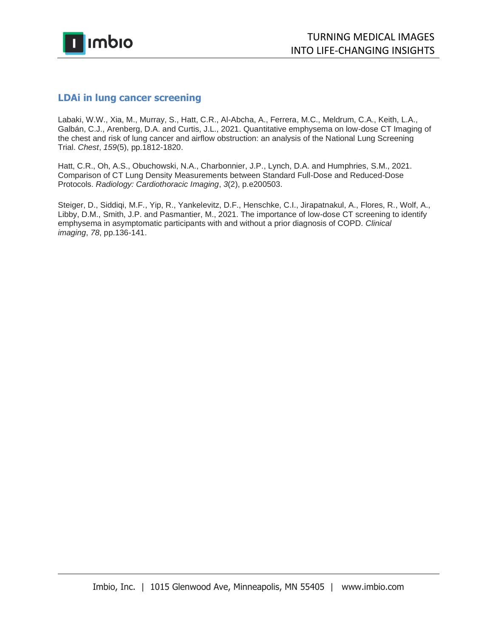

# **LDAi in lung cancer screening**

Labaki, W.W., Xia, M., Murray, S., Hatt, C.R., Al-Abcha, A., Ferrera, M.C., Meldrum, C.A., Keith, L.A., Galbán, C.J., Arenberg, D.A. and Curtis, J.L., 2021. Quantitative emphysema on low-dose CT Imaging of the chest and risk of lung cancer and airflow obstruction: an analysis of the National Lung Screening Trial. *Chest*, *159*(5), pp.1812-1820.

Hatt, C.R., Oh, A.S., Obuchowski, N.A., Charbonnier, J.P., Lynch, D.A. and Humphries, S.M., 2021. Comparison of CT Lung Density Measurements between Standard Full-Dose and Reduced-Dose Protocols. *Radiology: Cardiothoracic Imaging*, *3*(2), p.e200503.

Steiger, D., Siddiqi, M.F., Yip, R., Yankelevitz, D.F., Henschke, C.I., Jirapatnakul, A., Flores, R., Wolf, A., Libby, D.M., Smith, J.P. and Pasmantier, M., 2021. The importance of low-dose CT screening to identify emphysema in asymptomatic participants with and without a prior diagnosis of COPD. *Clinical imaging*, *78*, pp.136-141.